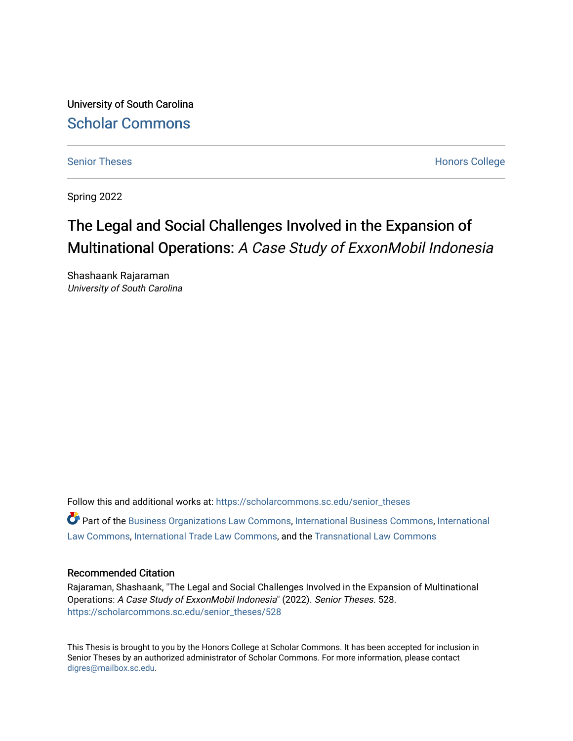University of South Carolina [Scholar Commons](https://scholarcommons.sc.edu/) 

[Senior Theses](https://scholarcommons.sc.edu/senior_theses) **Honors College** [Honors College](https://scholarcommons.sc.edu/honors_college) **Honors College** 

Spring 2022

# The Legal and Social Challenges Involved in the Expansion of Multinational Operations: A Case Study of ExxonMobil Indonesia

Shashaank Rajaraman University of South Carolina

Follow this and additional works at: [https://scholarcommons.sc.edu/senior\\_theses](https://scholarcommons.sc.edu/senior_theses?utm_source=scholarcommons.sc.edu%2Fsenior_theses%2F528&utm_medium=PDF&utm_campaign=PDFCoverPages)  Part of the [Business Organizations Law Commons](http://network.bepress.com/hgg/discipline/900?utm_source=scholarcommons.sc.edu%2Fsenior_theses%2F528&utm_medium=PDF&utm_campaign=PDFCoverPages), [International Business Commons](http://network.bepress.com/hgg/discipline/634?utm_source=scholarcommons.sc.edu%2Fsenior_theses%2F528&utm_medium=PDF&utm_campaign=PDFCoverPages), [International](http://network.bepress.com/hgg/discipline/609?utm_source=scholarcommons.sc.edu%2Fsenior_theses%2F528&utm_medium=PDF&utm_campaign=PDFCoverPages) [Law Commons,](http://network.bepress.com/hgg/discipline/609?utm_source=scholarcommons.sc.edu%2Fsenior_theses%2F528&utm_medium=PDF&utm_campaign=PDFCoverPages) [International Trade Law Commons](http://network.bepress.com/hgg/discipline/848?utm_source=scholarcommons.sc.edu%2Fsenior_theses%2F528&utm_medium=PDF&utm_campaign=PDFCoverPages), and the [Transnational Law Commons](http://network.bepress.com/hgg/discipline/1123?utm_source=scholarcommons.sc.edu%2Fsenior_theses%2F528&utm_medium=PDF&utm_campaign=PDFCoverPages)

#### Recommended Citation

Rajaraman, Shashaank, "The Legal and Social Challenges Involved in the Expansion of Multinational Operations: A Case Study of ExxonMobil Indonesia" (2022). Senior Theses. 528. [https://scholarcommons.sc.edu/senior\\_theses/528](https://scholarcommons.sc.edu/senior_theses/528?utm_source=scholarcommons.sc.edu%2Fsenior_theses%2F528&utm_medium=PDF&utm_campaign=PDFCoverPages) 

This Thesis is brought to you by the Honors College at Scholar Commons. It has been accepted for inclusion in Senior Theses by an authorized administrator of Scholar Commons. For more information, please contact [digres@mailbox.sc.edu](mailto:digres@mailbox.sc.edu).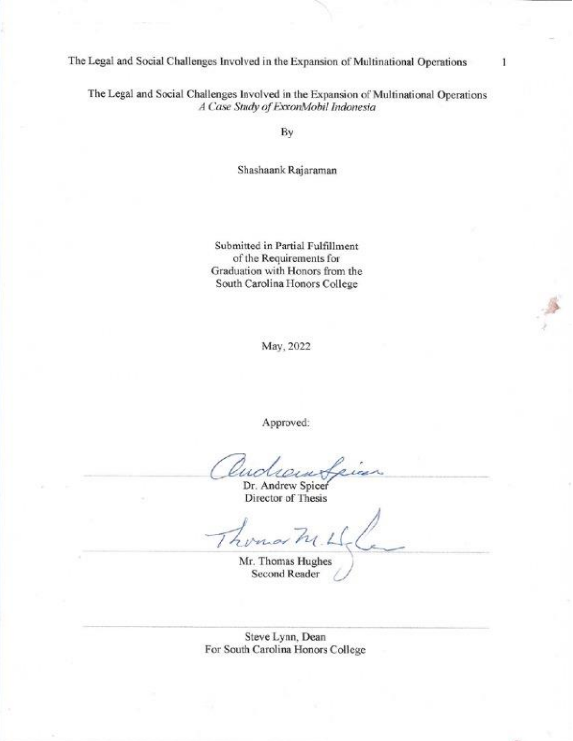The Legal and Social Challenges Involved in the Expansion of Multinational Operations

**The Legal and Social Challenges Involved in the Expansion of Multinational Operations** 

1

*A Case Study of ExxonMobil Indonesia*

Shashaank Rajaraman

Submitted in Partial Fulfillment of the Requirements for Graduation with Honors from the **South Carolina Honors College** 

May, 2022

**Approved:**

u

**Andrew Spicer Director of Thesis**

*<u>Thomas Hughes</u>* **Second Reader**

Steve Lynn, Dean For South Carolina Honors College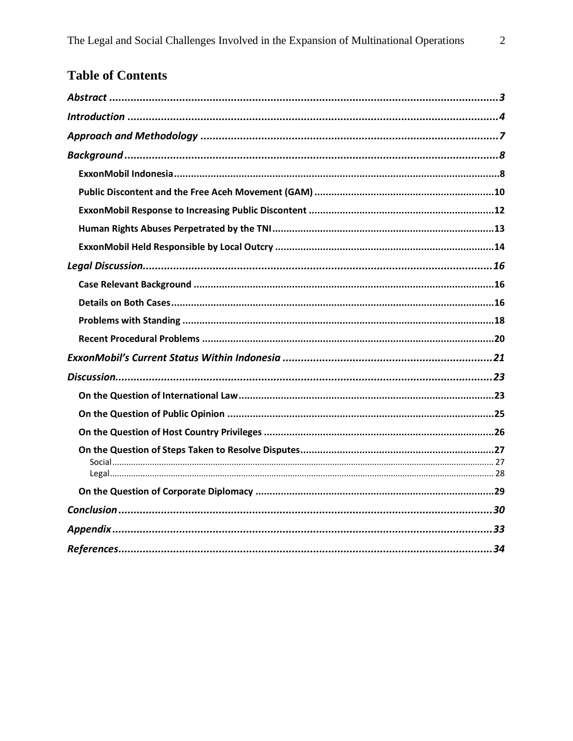# **Table of Contents**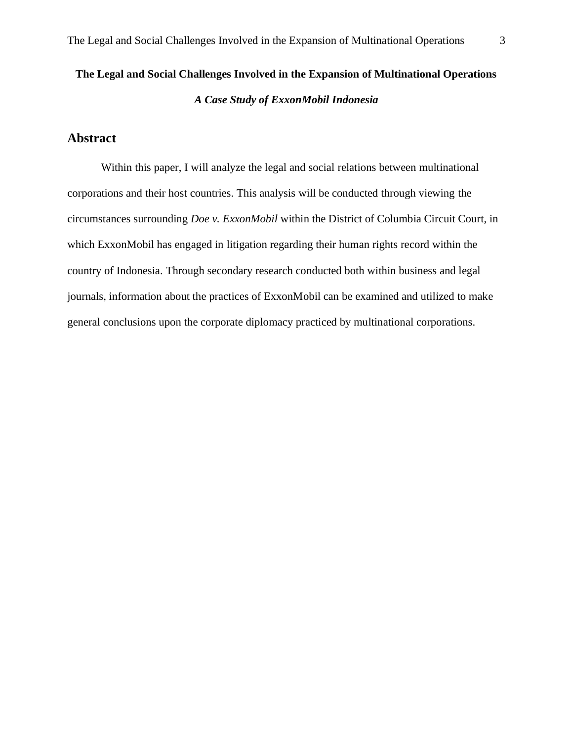# **The Legal and Social Challenges Involved in the Expansion of Multinational Operations** *A Case Study of ExxonMobil Indonesia*

# <span id="page-3-0"></span>**Abstract**

Within this paper, I will analyze the legal and social relations between multinational corporations and their host countries. This analysis will be conducted through viewing the circumstances surrounding *Doe v. ExxonMobil* within the District of Columbia Circuit Court, in which ExxonMobil has engaged in litigation regarding their human rights record within the country of Indonesia. Through secondary research conducted both within business and legal journals, information about the practices of ExxonMobil can be examined and utilized to make general conclusions upon the corporate diplomacy practiced by multinational corporations.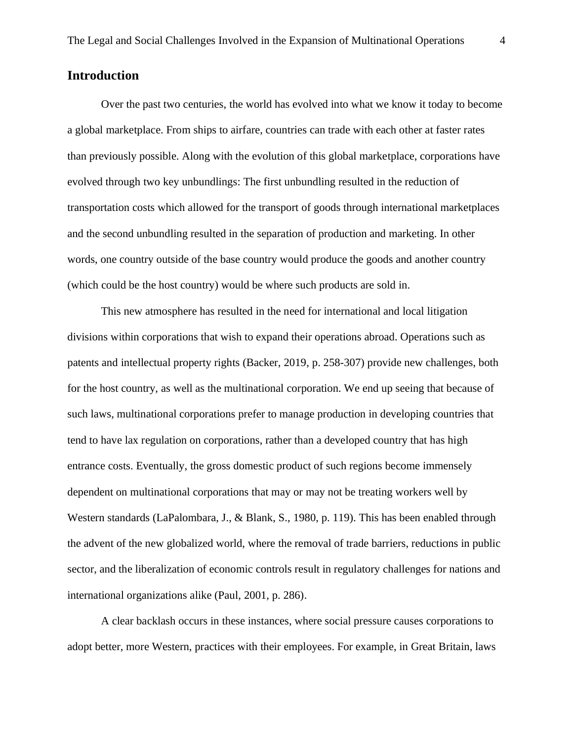# <span id="page-4-0"></span>**Introduction**

Over the past two centuries, the world has evolved into what we know it today to become a global marketplace. From ships to airfare, countries can trade with each other at faster rates than previously possible. Along with the evolution of this global marketplace, corporations have evolved through two key unbundlings: The first unbundling resulted in the reduction of transportation costs which allowed for the transport of goods through international marketplaces and the second unbundling resulted in the separation of production and marketing. In other words, one country outside of the base country would produce the goods and another country (which could be the host country) would be where such products are sold in.

This new atmosphere has resulted in the need for international and local litigation divisions within corporations that wish to expand their operations abroad. Operations such as patents and intellectual property rights (Backer, 2019, p. 258-307) provide new challenges, both for the host country, as well as the multinational corporation. We end up seeing that because of such laws, multinational corporations prefer to manage production in developing countries that tend to have lax regulation on corporations, rather than a developed country that has high entrance costs. Eventually, the gross domestic product of such regions become immensely dependent on multinational corporations that may or may not be treating workers well by Western standards (LaPalombara, J., & Blank, S., 1980, p. 119). This has been enabled through the advent of the new globalized world, where the removal of trade barriers, reductions in public sector, and the liberalization of economic controls result in regulatory challenges for nations and international organizations alike (Paul, 2001, p. 286).

A clear backlash occurs in these instances, where social pressure causes corporations to adopt better, more Western, practices with their employees. For example, in Great Britain, laws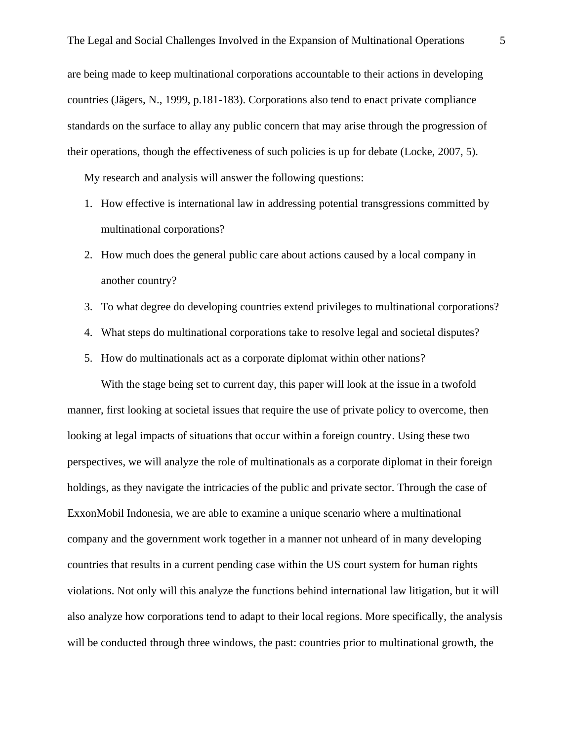are being made to keep multinational corporations accountable to their actions in developing countries (Jägers, N., 1999, p.181-183). Corporations also tend to enact private compliance standards on the surface to allay any public concern that may arise through the progression of their operations, though the effectiveness of such policies is up for debate (Locke, 2007, 5).

My research and analysis will answer the following questions:

- 1. How effective is international law in addressing potential transgressions committed by multinational corporations?
- 2. How much does the general public care about actions caused by a local company in another country?
- 3. To what degree do developing countries extend privileges to multinational corporations?
- 4. What steps do multinational corporations take to resolve legal and societal disputes?
- 5. How do multinationals act as a corporate diplomat within other nations?

With the stage being set to current day, this paper will look at the issue in a twofold manner, first looking at societal issues that require the use of private policy to overcome, then looking at legal impacts of situations that occur within a foreign country. Using these two perspectives, we will analyze the role of multinationals as a corporate diplomat in their foreign holdings, as they navigate the intricacies of the public and private sector. Through the case of ExxonMobil Indonesia, we are able to examine a unique scenario where a multinational company and the government work together in a manner not unheard of in many developing countries that results in a current pending case within the US court system for human rights violations. Not only will this analyze the functions behind international law litigation, but it will also analyze how corporations tend to adapt to their local regions. More specifically, the analysis will be conducted through three windows, the past: countries prior to multinational growth, the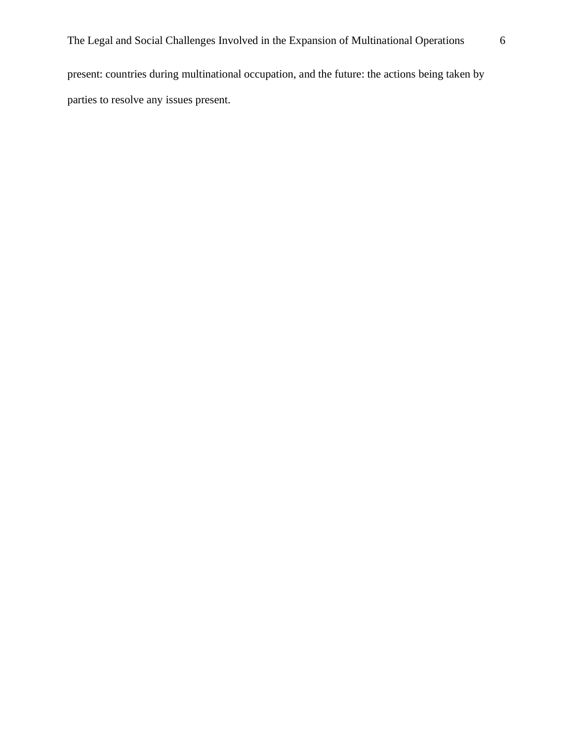parties to resolve any issues present.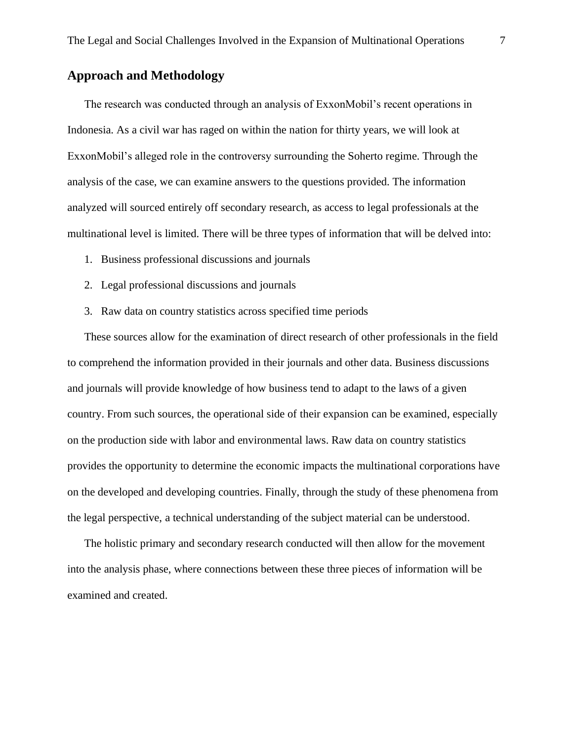# <span id="page-7-0"></span>**Approach and Methodology**

The research was conducted through an analysis of ExxonMobil's recent operations in Indonesia. As a civil war has raged on within the nation for thirty years, we will look at ExxonMobil's alleged role in the controversy surrounding the Soherto regime. Through the analysis of the case, we can examine answers to the questions provided. The information analyzed will sourced entirely off secondary research, as access to legal professionals at the multinational level is limited. There will be three types of information that will be delved into:

- 1. Business professional discussions and journals
- 2. Legal professional discussions and journals
- 3. Raw data on country statistics across specified time periods

These sources allow for the examination of direct research of other professionals in the field to comprehend the information provided in their journals and other data. Business discussions and journals will provide knowledge of how business tend to adapt to the laws of a given country. From such sources, the operational side of their expansion can be examined, especially on the production side with labor and environmental laws. Raw data on country statistics provides the opportunity to determine the economic impacts the multinational corporations have on the developed and developing countries. Finally, through the study of these phenomena from the legal perspective, a technical understanding of the subject material can be understood.

The holistic primary and secondary research conducted will then allow for the movement into the analysis phase, where connections between these three pieces of information will be examined and created.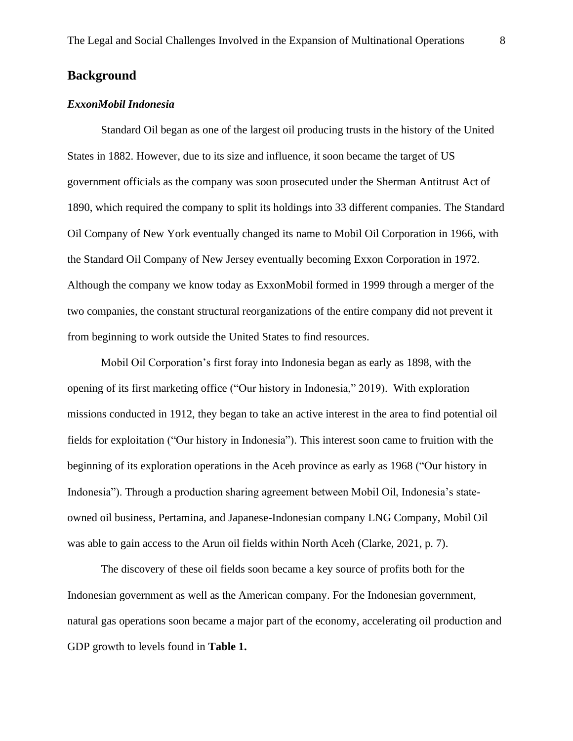# <span id="page-8-0"></span>**Background**

### <span id="page-8-1"></span>*ExxonMobil Indonesia*

Standard Oil began as one of the largest oil producing trusts in the history of the United States in 1882. However, due to its size and influence, it soon became the target of US government officials as the company was soon prosecuted under the Sherman Antitrust Act of 1890, which required the company to split its holdings into 33 different companies. The Standard Oil Company of New York eventually changed its name to Mobil Oil Corporation in 1966, with the Standard Oil Company of New Jersey eventually becoming Exxon Corporation in 1972. Although the company we know today as ExxonMobil formed in 1999 through a merger of the two companies, the constant structural reorganizations of the entire company did not prevent it from beginning to work outside the United States to find resources.

Mobil Oil Corporation's first foray into Indonesia began as early as 1898, with the opening of its first marketing office ("Our history in Indonesia," 2019). With exploration missions conducted in 1912, they began to take an active interest in the area to find potential oil fields for exploitation ("Our history in Indonesia"). This interest soon came to fruition with the beginning of its exploration operations in the Aceh province as early as 1968 ("Our history in Indonesia"). Through a production sharing agreement between Mobil Oil, Indonesia's stateowned oil business, Pertamina, and Japanese-Indonesian company LNG Company, Mobil Oil was able to gain access to the Arun oil fields within North Aceh (Clarke, 2021, p. 7).

The discovery of these oil fields soon became a key source of profits both for the Indonesian government as well as the American company. For the Indonesian government, natural gas operations soon became a major part of the economy, accelerating oil production and GDP growth to levels found in **Table 1.**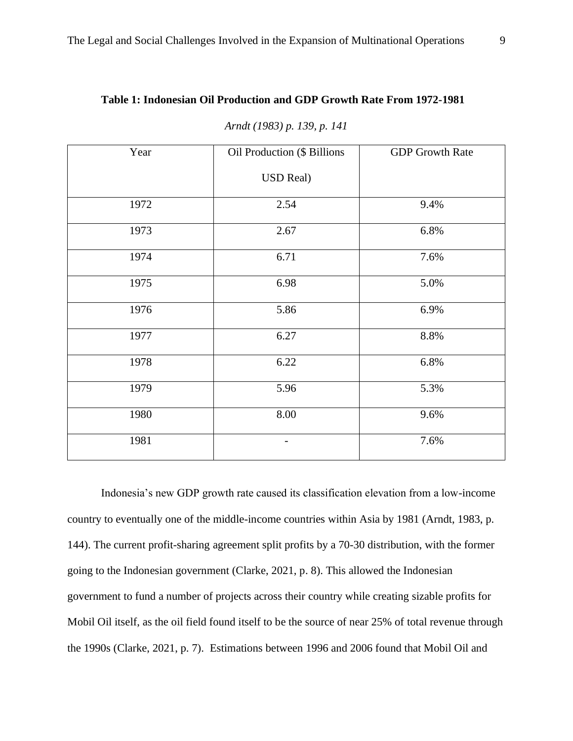## **Table 1: Indonesian Oil Production and GDP Growth Rate From 1972-1981**

| Year | Oil Production (\$ Billions | <b>GDP</b> Growth Rate |
|------|-----------------------------|------------------------|
|      | <b>USD Real)</b>            |                        |
| 1972 | 2.54                        | 9.4%                   |
| 1973 | 2.67                        | 6.8%                   |
| 1974 | 6.71                        | 7.6%                   |
| 1975 | 6.98                        | 5.0%                   |
| 1976 | 5.86                        | 6.9%                   |
| 1977 | 6.27                        | 8.8%                   |
| 1978 | 6.22                        | 6.8%                   |
| 1979 | 5.96                        | 5.3%                   |
| 1980 | 8.00                        | 9.6%                   |
| 1981 |                             | 7.6%                   |

*Arndt (1983) p. 139, p. 141*

Indonesia's new GDP growth rate caused its classification elevation from a low-income country to eventually one of the middle-income countries within Asia by 1981 (Arndt, 1983, p. 144). The current profit-sharing agreement split profits by a 70-30 distribution, with the former going to the Indonesian government (Clarke, 2021, p. 8). This allowed the Indonesian government to fund a number of projects across their country while creating sizable profits for Mobil Oil itself, as the oil field found itself to be the source of near 25% of total revenue through the 1990s (Clarke, 2021, p. 7). Estimations between 1996 and 2006 found that Mobil Oil and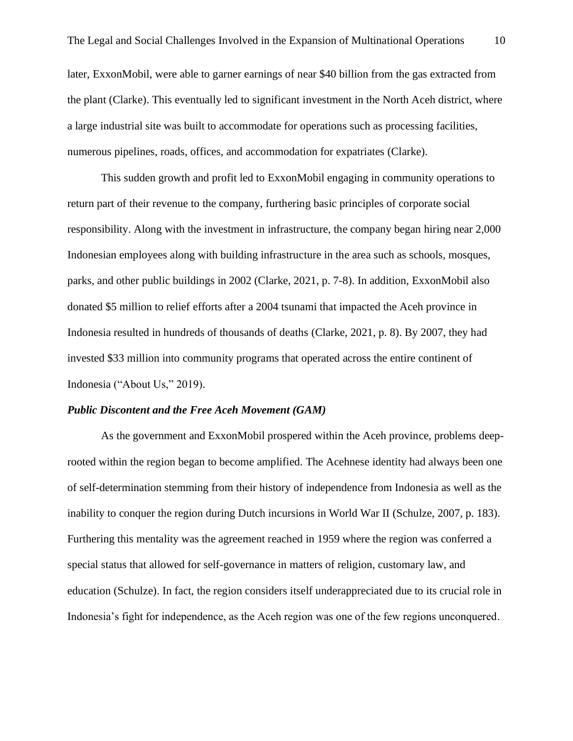later, ExxonMobil, were able to garner earnings of near \$40 billion from the gas extracted from the plant (Clarke). This eventually led to significant investment in the North Aceh district, where a large industrial site was built to accommodate for operations such as processing facilities, numerous pipelines, roads, offices, and accommodation for expatriates (Clarke).

This sudden growth and profit led to ExxonMobil engaging in community operations to return part of their revenue to the company, furthering basic principles of corporate social responsibility. Along with the investment in infrastructure, the company began hiring near 2,000 Indonesian employees along with building infrastructure in the area such as schools, mosques, parks, and other public buildings in 2002 (Clarke, 2021, p. 7-8). In addition, ExxonMobil also donated \$5 million to relief efforts after a 2004 tsunami that impacted the Aceh province in Indonesia resulted in hundreds of thousands of deaths (Clarke, 2021, p. 8). By 2007, they had invested \$33 million into community programs that operated across the entire continent of Indonesia ("About Us," 2019).

#### <span id="page-10-0"></span>*Public Discontent and the Free Aceh Movement (GAM)*

As the government and ExxonMobil prospered within the Aceh province, problems deeprooted within the region began to become amplified. The Acehnese identity had always been one of self-determination stemming from their history of independence from Indonesia as well as the inability to conquer the region during Dutch incursions in World War II (Schulze, 2007, p. 183). Furthering this mentality was the agreement reached in 1959 where the region was conferred a special status that allowed for self-governance in matters of religion, customary law, and education (Schulze). In fact, the region considers itself underappreciated due to its crucial role in Indonesia's fight for independence, as the Aceh region was one of the few regions unconquered.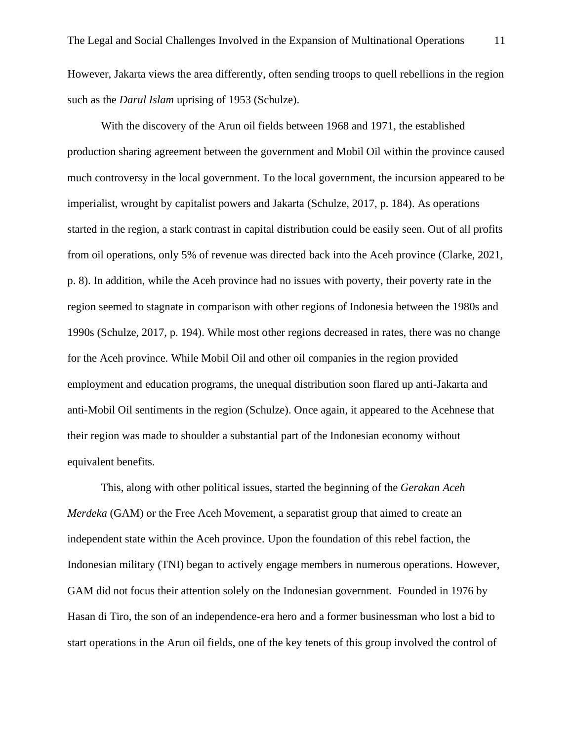However, Jakarta views the area differently, often sending troops to quell rebellions in the region such as the *Darul Islam* uprising of 1953 (Schulze).

With the discovery of the Arun oil fields between 1968 and 1971, the established production sharing agreement between the government and Mobil Oil within the province caused much controversy in the local government. To the local government, the incursion appeared to be imperialist, wrought by capitalist powers and Jakarta (Schulze, 2017, p. 184). As operations started in the region, a stark contrast in capital distribution could be easily seen. Out of all profits from oil operations, only 5% of revenue was directed back into the Aceh province (Clarke, 2021, p. 8). In addition, while the Aceh province had no issues with poverty, their poverty rate in the region seemed to stagnate in comparison with other regions of Indonesia between the 1980s and 1990s (Schulze, 2017, p. 194). While most other regions decreased in rates, there was no change for the Aceh province. While Mobil Oil and other oil companies in the region provided employment and education programs, the unequal distribution soon flared up anti-Jakarta and anti-Mobil Oil sentiments in the region (Schulze). Once again, it appeared to the Acehnese that their region was made to shoulder a substantial part of the Indonesian economy without equivalent benefits.

This, along with other political issues, started the beginning of the *Gerakan Aceh Merdeka* (GAM) or the Free Aceh Movement, a separatist group that aimed to create an independent state within the Aceh province. Upon the foundation of this rebel faction, the Indonesian military (TNI) began to actively engage members in numerous operations. However, GAM did not focus their attention solely on the Indonesian government. Founded in 1976 by Hasan di Tiro, the son of an independence-era hero and a former businessman who lost a bid to start operations in the Arun oil fields, one of the key tenets of this group involved the control of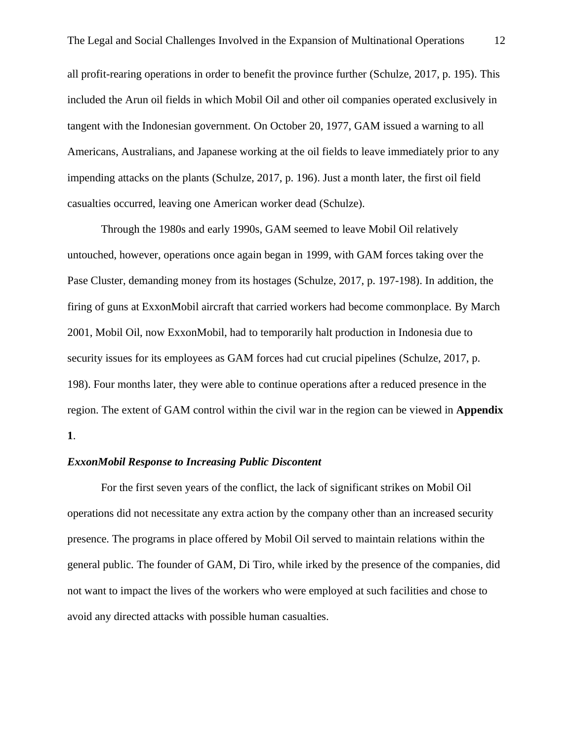all profit-rearing operations in order to benefit the province further (Schulze, 2017, p. 195). This included the Arun oil fields in which Mobil Oil and other oil companies operated exclusively in tangent with the Indonesian government. On October 20, 1977, GAM issued a warning to all Americans, Australians, and Japanese working at the oil fields to leave immediately prior to any impending attacks on the plants (Schulze, 2017, p. 196). Just a month later, the first oil field casualties occurred, leaving one American worker dead (Schulze).

Through the 1980s and early 1990s, GAM seemed to leave Mobil Oil relatively untouched, however, operations once again began in 1999, with GAM forces taking over the Pase Cluster, demanding money from its hostages (Schulze, 2017, p. 197-198). In addition, the firing of guns at ExxonMobil aircraft that carried workers had become commonplace. By March 2001, Mobil Oil, now ExxonMobil, had to temporarily halt production in Indonesia due to security issues for its employees as GAM forces had cut crucial pipelines (Schulze, 2017, p. 198). Four months later, they were able to continue operations after a reduced presence in the region. The extent of GAM control within the civil war in the region can be viewed in **Appendix 1**.

#### <span id="page-12-0"></span>*ExxonMobil Response to Increasing Public Discontent*

For the first seven years of the conflict, the lack of significant strikes on Mobil Oil operations did not necessitate any extra action by the company other than an increased security presence. The programs in place offered by Mobil Oil served to maintain relations within the general public. The founder of GAM, Di Tiro, while irked by the presence of the companies, did not want to impact the lives of the workers who were employed at such facilities and chose to avoid any directed attacks with possible human casualties.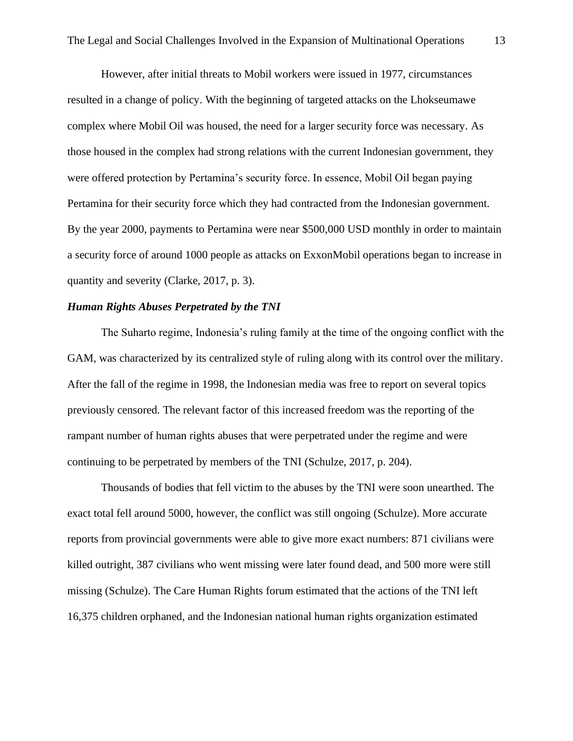However, after initial threats to Mobil workers were issued in 1977, circumstances resulted in a change of policy. With the beginning of targeted attacks on the Lhokseumawe complex where Mobil Oil was housed, the need for a larger security force was necessary. As those housed in the complex had strong relations with the current Indonesian government, they were offered protection by Pertamina's security force. In essence, Mobil Oil began paying Pertamina for their security force which they had contracted from the Indonesian government. By the year 2000, payments to Pertamina were near \$500,000 USD monthly in order to maintain a security force of around 1000 people as attacks on ExxonMobil operations began to increase in quantity and severity (Clarke, 2017, p. 3).

#### <span id="page-13-0"></span>*Human Rights Abuses Perpetrated by the TNI*

The Suharto regime, Indonesia's ruling family at the time of the ongoing conflict with the GAM, was characterized by its centralized style of ruling along with its control over the military. After the fall of the regime in 1998, the Indonesian media was free to report on several topics previously censored. The relevant factor of this increased freedom was the reporting of the rampant number of human rights abuses that were perpetrated under the regime and were continuing to be perpetrated by members of the TNI (Schulze, 2017, p. 204).

Thousands of bodies that fell victim to the abuses by the TNI were soon unearthed. The exact total fell around 5000, however, the conflict was still ongoing (Schulze). More accurate reports from provincial governments were able to give more exact numbers: 871 civilians were killed outright, 387 civilians who went missing were later found dead, and 500 more were still missing (Schulze). The Care Human Rights forum estimated that the actions of the TNI left 16,375 children orphaned, and the Indonesian national human rights organization estimated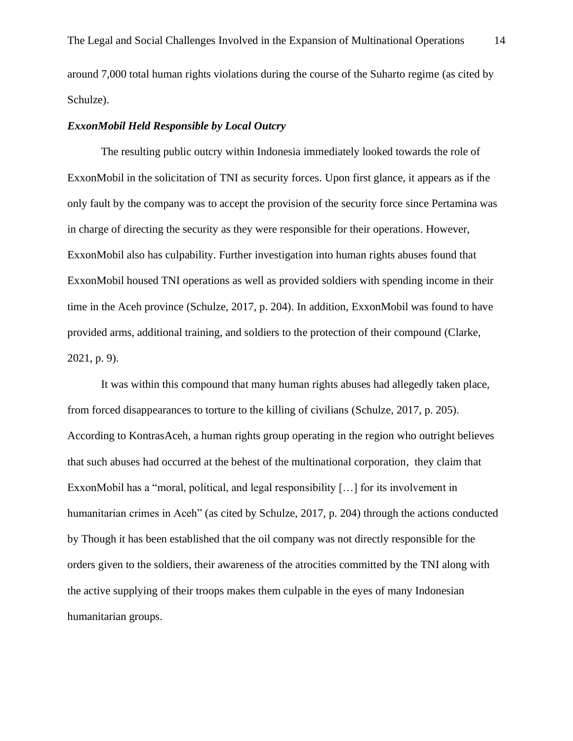#### <span id="page-14-0"></span>*ExxonMobil Held Responsible by Local Outcry*

The resulting public outcry within Indonesia immediately looked towards the role of ExxonMobil in the solicitation of TNI as security forces. Upon first glance, it appears as if the only fault by the company was to accept the provision of the security force since Pertamina was in charge of directing the security as they were responsible for their operations. However, ExxonMobil also has culpability. Further investigation into human rights abuses found that ExxonMobil housed TNI operations as well as provided soldiers with spending income in their time in the Aceh province (Schulze, 2017, p. 204). In addition, ExxonMobil was found to have provided arms, additional training, and soldiers to the protection of their compound (Clarke, 2021, p. 9).

It was within this compound that many human rights abuses had allegedly taken place, from forced disappearances to torture to the killing of civilians (Schulze, 2017, p. 205). According to KontrasAceh, a human rights group operating in the region who outright believes that such abuses had occurred at the behest of the multinational corporation, they claim that ExxonMobil has a "moral, political, and legal responsibility […] for its involvement in humanitarian crimes in Aceh" (as cited by Schulze, 2017, p. 204) through the actions conducted by Though it has been established that the oil company was not directly responsible for the orders given to the soldiers, their awareness of the atrocities committed by the TNI along with the active supplying of their troops makes them culpable in the eyes of many Indonesian humanitarian groups.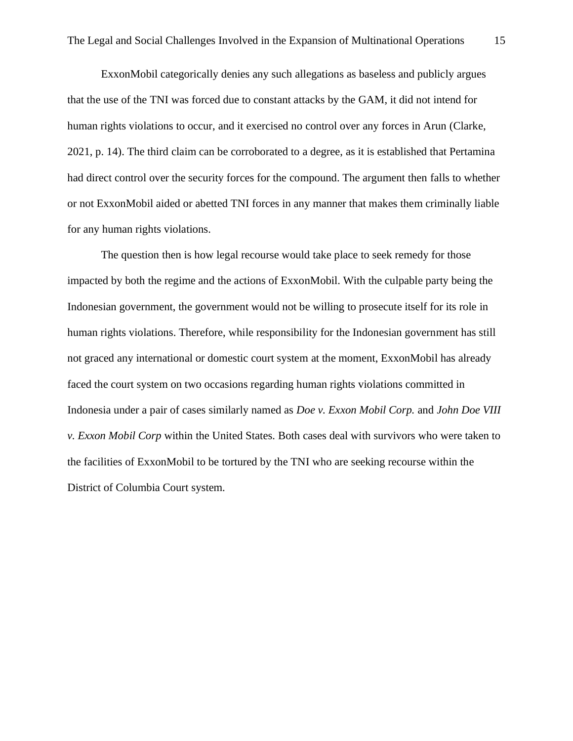ExxonMobil categorically denies any such allegations as baseless and publicly argues that the use of the TNI was forced due to constant attacks by the GAM, it did not intend for human rights violations to occur, and it exercised no control over any forces in Arun (Clarke, 2021, p. 14). The third claim can be corroborated to a degree, as it is established that Pertamina had direct control over the security forces for the compound. The argument then falls to whether or not ExxonMobil aided or abetted TNI forces in any manner that makes them criminally liable for any human rights violations.

The question then is how legal recourse would take place to seek remedy for those impacted by both the regime and the actions of ExxonMobil. With the culpable party being the Indonesian government, the government would not be willing to prosecute itself for its role in human rights violations. Therefore, while responsibility for the Indonesian government has still not graced any international or domestic court system at the moment, ExxonMobil has already faced the court system on two occasions regarding human rights violations committed in Indonesia under a pair of cases similarly named as *Doe v. Exxon Mobil Corp.* and *John Doe VIII v. Exxon Mobil Corp* within the United States*.* Both cases deal with survivors who were taken to the facilities of ExxonMobil to be tortured by the TNI who are seeking recourse within the District of Columbia Court system.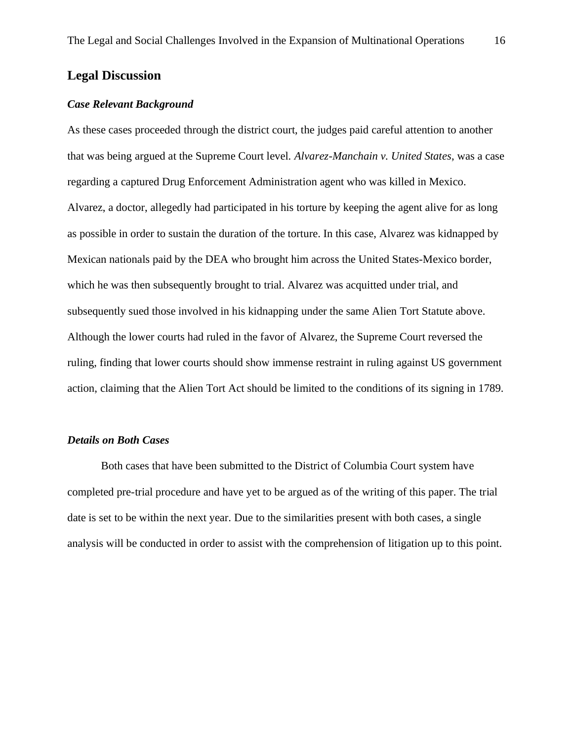## <span id="page-16-0"></span>**Legal Discussion**

### <span id="page-16-1"></span>*Case Relevant Background*

As these cases proceeded through the district court, the judges paid careful attention to another that was being argued at the Supreme Court level. *Alvarez-Manchain v. United States*, was a case regarding a captured Drug Enforcement Administration agent who was killed in Mexico. Alvarez, a doctor, allegedly had participated in his torture by keeping the agent alive for as long as possible in order to sustain the duration of the torture. In this case, Alvarez was kidnapped by Mexican nationals paid by the DEA who brought him across the United States-Mexico border, which he was then subsequently brought to trial. Alvarez was acquitted under trial, and subsequently sued those involved in his kidnapping under the same Alien Tort Statute above. Although the lower courts had ruled in the favor of Alvarez, the Supreme Court reversed the ruling, finding that lower courts should show immense restraint in ruling against US government action, claiming that the Alien Tort Act should be limited to the conditions of its signing in 1789.

### <span id="page-16-2"></span>*Details on Both Cases*

Both cases that have been submitted to the District of Columbia Court system have completed pre-trial procedure and have yet to be argued as of the writing of this paper. The trial date is set to be within the next year. Due to the similarities present with both cases, a single analysis will be conducted in order to assist with the comprehension of litigation up to this point.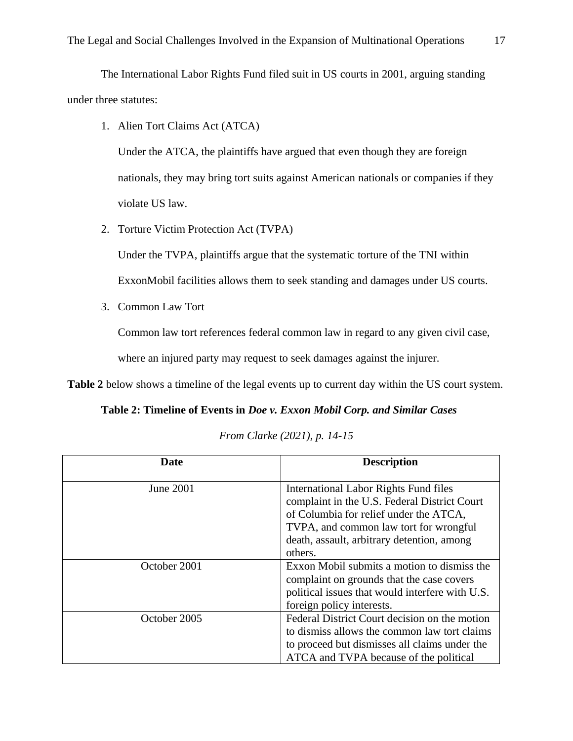The International Labor Rights Fund filed suit in US courts in 2001, arguing standing under three statutes:

1. Alien Tort Claims Act (ATCA)

Under the ATCA, the plaintiffs have argued that even though they are foreign nationals, they may bring tort suits against American nationals or companies if they violate US law.

2. Torture Victim Protection Act (TVPA)

Under the TVPA, plaintiffs argue that the systematic torture of the TNI within ExxonMobil facilities allows them to seek standing and damages under US courts.

3. Common Law Tort

Common law tort references federal common law in regard to any given civil case,

where an injured party may request to seek damages against the injurer.

**Table 2** below shows a timeline of the legal events up to current day within the US court system.

**Table 2: Timeline of Events in** *Doe v. Exxon Mobil Corp. and Similar Cases*

|  |  | From Clarke (2021), p. 14-15 |  |  |
|--|--|------------------------------|--|--|
|--|--|------------------------------|--|--|

| Date         | <b>Description</b>                                                                                                                                                                                                                 |
|--------------|------------------------------------------------------------------------------------------------------------------------------------------------------------------------------------------------------------------------------------|
| June 2001    | International Labor Rights Fund files<br>complaint in the U.S. Federal District Court<br>of Columbia for relief under the ATCA,<br>TVPA, and common law tort for wrongful<br>death, assault, arbitrary detention, among<br>others. |
| October 2001 | Exxon Mobil submits a motion to dismiss the<br>complaint on grounds that the case covers<br>political issues that would interfere with U.S.<br>foreign policy interests.                                                           |
| October 2005 | Federal District Court decision on the motion<br>to dismiss allows the common law tort claims<br>to proceed but dismisses all claims under the<br>ATCA and TVPA because of the political                                           |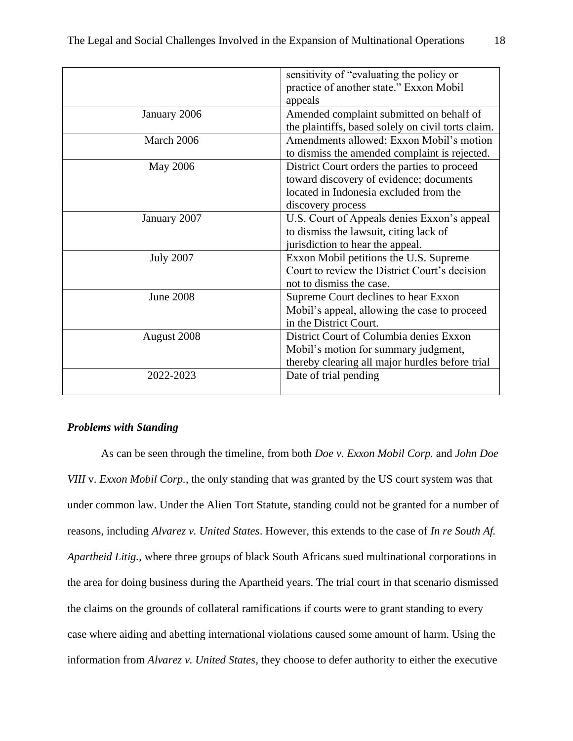|                  | sensitivity of "evaluating the policy or           |
|------------------|----------------------------------------------------|
|                  | practice of another state." Exxon Mobil            |
|                  | appeals                                            |
| January 2006     | Amended complaint submitted on behalf of           |
|                  | the plaintiffs, based solely on civil torts claim. |
| March 2006       | Amendments allowed; Exxon Mobil's motion           |
|                  | to dismiss the amended complaint is rejected.      |
| <b>May 2006</b>  | District Court orders the parties to proceed       |
|                  | toward discovery of evidence; documents            |
|                  | located in Indonesia excluded from the             |
|                  | discovery process                                  |
| January 2007     | U.S. Court of Appeals denies Exxon's appeal        |
|                  | to dismiss the lawsuit, citing lack of             |
|                  | jurisdiction to hear the appeal.                   |
| <b>July 2007</b> | Exxon Mobil petitions the U.S. Supreme             |
|                  | Court to review the District Court's decision      |
|                  | not to dismiss the case.                           |
| <b>June 2008</b> | Supreme Court declines to hear Exxon               |
|                  | Mobil's appeal, allowing the case to proceed       |
|                  | in the District Court.                             |
| August 2008      | District Court of Columbia denies Exxon            |
|                  | Mobil's motion for summary judgment,               |
|                  | thereby clearing all major hurdles before trial    |
| 2022-2023        | Date of trial pending                              |
|                  |                                                    |

## <span id="page-18-0"></span>*Problems with Standing*

As can be seen through the timeline, from both *Doe v. Exxon Mobil Corp.* and *John Doe VIII* v. *Exxon Mobil Corp.*, the only standing that was granted by the US court system was that under common law. Under the Alien Tort Statute, standing could not be granted for a number of reasons, including *Alvarez v. United States*. However, this extends to the case of *In re South Af. Apartheid Litig.,* where three groups of black South Africans sued multinational corporations in the area for doing business during the Apartheid years. The trial court in that scenario dismissed the claims on the grounds of collateral ramifications if courts were to grant standing to every case where aiding and abetting international violations caused some amount of harm. Using the information from *Alvarez v. United States*, they choose to defer authority to either the executive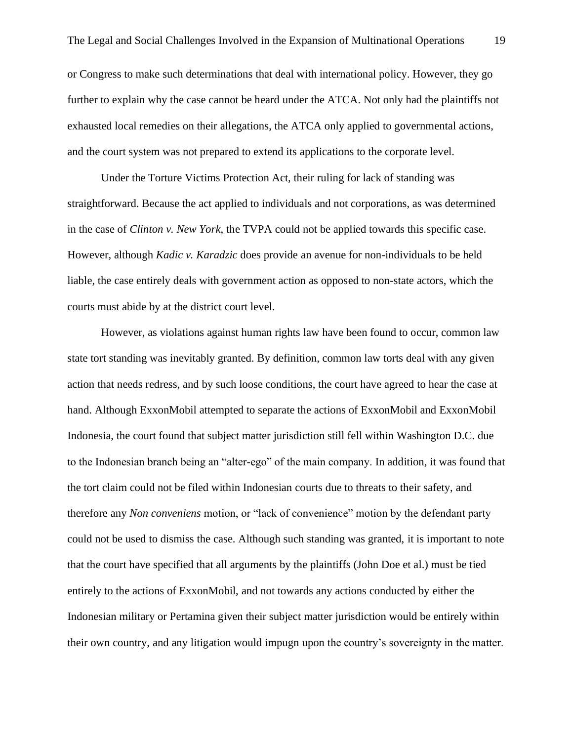or Congress to make such determinations that deal with international policy. However, they go further to explain why the case cannot be heard under the ATCA. Not only had the plaintiffs not exhausted local remedies on their allegations, the ATCA only applied to governmental actions, and the court system was not prepared to extend its applications to the corporate level.

Under the Torture Victims Protection Act, their ruling for lack of standing was straightforward. Because the act applied to individuals and not corporations, as was determined in the case of *Clinton v. New York*, the TVPA could not be applied towards this specific case. However, although *Kadic v. Karadzic* does provide an avenue for non-individuals to be held liable, the case entirely deals with government action as opposed to non-state actors, which the courts must abide by at the district court level.

However, as violations against human rights law have been found to occur, common law state tort standing was inevitably granted. By definition, common law torts deal with any given action that needs redress, and by such loose conditions, the court have agreed to hear the case at hand. Although ExxonMobil attempted to separate the actions of ExxonMobil and ExxonMobil Indonesia, the court found that subject matter jurisdiction still fell within Washington D.C. due to the Indonesian branch being an "alter-ego" of the main company. In addition, it was found that the tort claim could not be filed within Indonesian courts due to threats to their safety, and therefore any *Non conveniens* motion, or "lack of convenience" motion by the defendant party could not be used to dismiss the case. Although such standing was granted, it is important to note that the court have specified that all arguments by the plaintiffs (John Doe et al.) must be tied entirely to the actions of ExxonMobil, and not towards any actions conducted by either the Indonesian military or Pertamina given their subject matter jurisdiction would be entirely within their own country, and any litigation would impugn upon the country's sovereignty in the matter.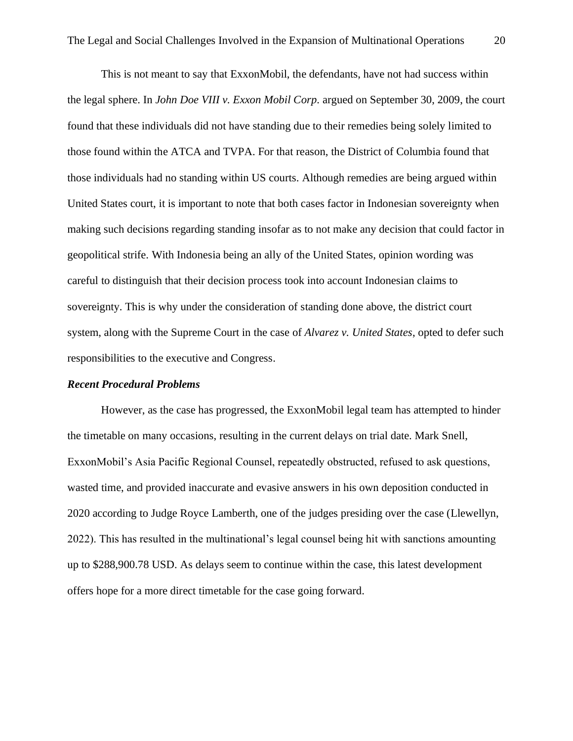This is not meant to say that ExxonMobil, the defendants, have not had success within the legal sphere. In *John Doe VIII v. Exxon Mobil Corp.* argued on September 30, 2009, the court found that these individuals did not have standing due to their remedies being solely limited to those found within the ATCA and TVPA. For that reason, the District of Columbia found that those individuals had no standing within US courts. Although remedies are being argued within United States court, it is important to note that both cases factor in Indonesian sovereignty when making such decisions regarding standing insofar as to not make any decision that could factor in geopolitical strife. With Indonesia being an ally of the United States, opinion wording was careful to distinguish that their decision process took into account Indonesian claims to sovereignty. This is why under the consideration of standing done above, the district court system, along with the Supreme Court in the case of *Alvarez v. United States*, opted to defer such responsibilities to the executive and Congress.

#### <span id="page-20-0"></span>*Recent Procedural Problems*

However, as the case has progressed, the ExxonMobil legal team has attempted to hinder the timetable on many occasions, resulting in the current delays on trial date. Mark Snell, ExxonMobil's Asia Pacific Regional Counsel, repeatedly obstructed, refused to ask questions, wasted time, and provided inaccurate and evasive answers in his own deposition conducted in 2020 according to Judge Royce Lamberth, one of the judges presiding over the case (Llewellyn, 2022). This has resulted in the multinational's legal counsel being hit with sanctions amounting up to \$288,900.78 USD. As delays seem to continue within the case, this latest development offers hope for a more direct timetable for the case going forward.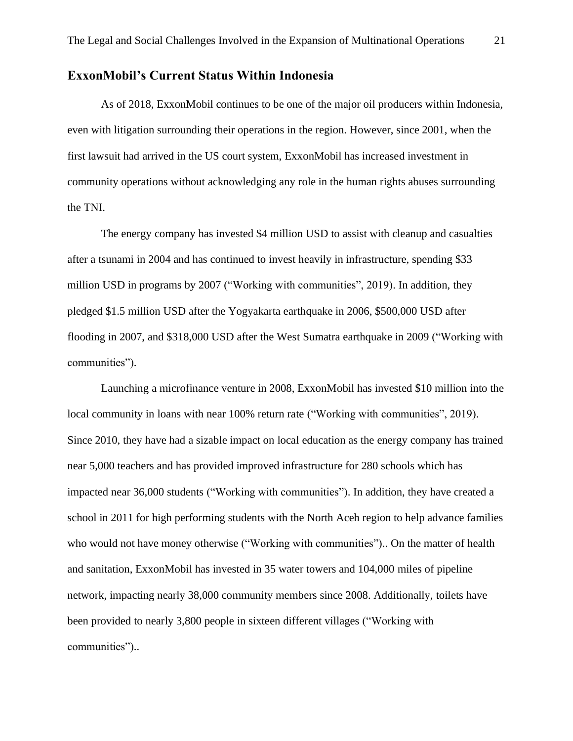# <span id="page-21-0"></span>**ExxonMobil's Current Status Within Indonesia**

As of 2018, ExxonMobil continues to be one of the major oil producers within Indonesia, even with litigation surrounding their operations in the region. However, since 2001, when the first lawsuit had arrived in the US court system, ExxonMobil has increased investment in community operations without acknowledging any role in the human rights abuses surrounding the TNI.

The energy company has invested \$4 million USD to assist with cleanup and casualties after a tsunami in 2004 and has continued to invest heavily in infrastructure, spending \$33 million USD in programs by 2007 ("Working with communities", 2019). In addition, they pledged \$1.5 million USD after the Yogyakarta earthquake in 2006, \$500,000 USD after flooding in 2007, and \$318,000 USD after the West Sumatra earthquake in 2009 ("Working with communities").

Launching a microfinance venture in 2008, ExxonMobil has invested \$10 million into the local community in loans with near 100% return rate ("Working with communities", 2019). Since 2010, they have had a sizable impact on local education as the energy company has trained near 5,000 teachers and has provided improved infrastructure for 280 schools which has impacted near 36,000 students ("Working with communities"). In addition, they have created a school in 2011 for high performing students with the North Aceh region to help advance families who would not have money otherwise ("Working with communities").. On the matter of health and sanitation, ExxonMobil has invested in 35 water towers and 104,000 miles of pipeline network, impacting nearly 38,000 community members since 2008. Additionally, toilets have been provided to nearly 3,800 people in sixteen different villages ("Working with communities")..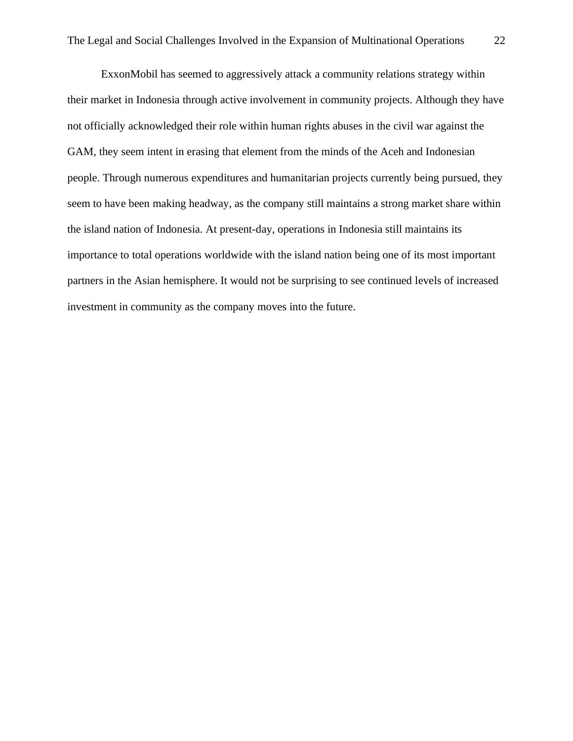ExxonMobil has seemed to aggressively attack a community relations strategy within their market in Indonesia through active involvement in community projects. Although they have not officially acknowledged their role within human rights abuses in the civil war against the GAM, they seem intent in erasing that element from the minds of the Aceh and Indonesian people. Through numerous expenditures and humanitarian projects currently being pursued, they seem to have been making headway, as the company still maintains a strong market share within the island nation of Indonesia. At present-day, operations in Indonesia still maintains its importance to total operations worldwide with the island nation being one of its most important partners in the Asian hemisphere. It would not be surprising to see continued levels of increased investment in community as the company moves into the future.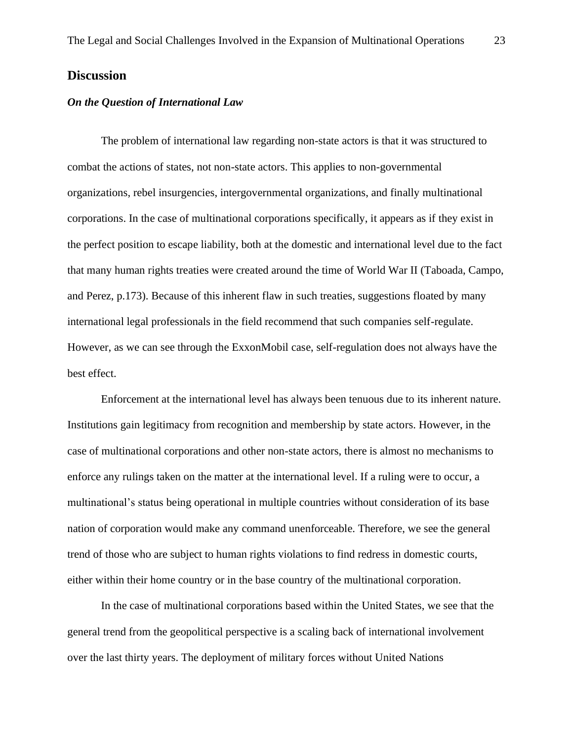# <span id="page-23-0"></span>**Discussion**

#### <span id="page-23-1"></span>*On the Question of International Law*

The problem of international law regarding non-state actors is that it was structured to combat the actions of states, not non-state actors. This applies to non-governmental organizations, rebel insurgencies, intergovernmental organizations, and finally multinational corporations. In the case of multinational corporations specifically, it appears as if they exist in the perfect position to escape liability, both at the domestic and international level due to the fact that many human rights treaties were created around the time of World War II (Taboada, Campo, and Perez, p.173). Because of this inherent flaw in such treaties, suggestions floated by many international legal professionals in the field recommend that such companies self-regulate. However, as we can see through the ExxonMobil case, self-regulation does not always have the best effect.

Enforcement at the international level has always been tenuous due to its inherent nature. Institutions gain legitimacy from recognition and membership by state actors. However, in the case of multinational corporations and other non-state actors, there is almost no mechanisms to enforce any rulings taken on the matter at the international level. If a ruling were to occur, a multinational's status being operational in multiple countries without consideration of its base nation of corporation would make any command unenforceable. Therefore, we see the general trend of those who are subject to human rights violations to find redress in domestic courts, either within their home country or in the base country of the multinational corporation.

In the case of multinational corporations based within the United States, we see that the general trend from the geopolitical perspective is a scaling back of international involvement over the last thirty years. The deployment of military forces without United Nations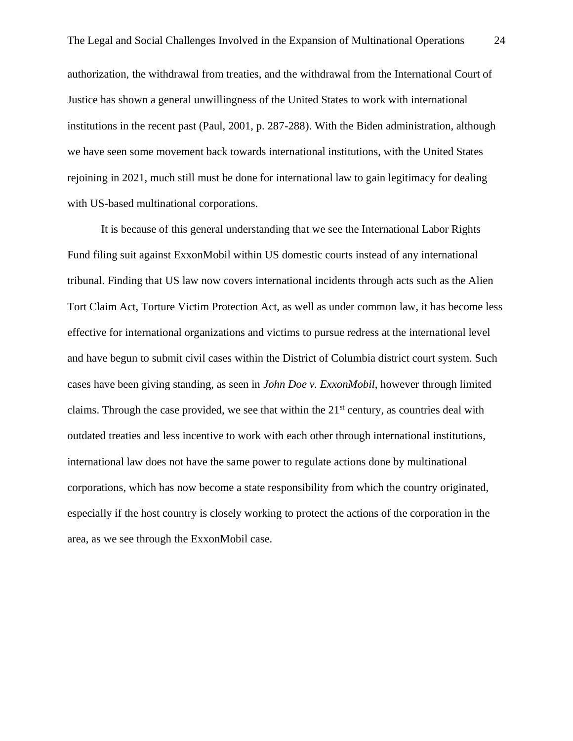authorization, the withdrawal from treaties, and the withdrawal from the International Court of Justice has shown a general unwillingness of the United States to work with international institutions in the recent past (Paul, 2001, p. 287-288). With the Biden administration, although we have seen some movement back towards international institutions, with the United States rejoining in 2021, much still must be done for international law to gain legitimacy for dealing with US-based multinational corporations.

It is because of this general understanding that we see the International Labor Rights Fund filing suit against ExxonMobil within US domestic courts instead of any international tribunal. Finding that US law now covers international incidents through acts such as the Alien Tort Claim Act, Torture Victim Protection Act, as well as under common law, it has become less effective for international organizations and victims to pursue redress at the international level and have begun to submit civil cases within the District of Columbia district court system. Such cases have been giving standing, as seen in *John Doe v. ExxonMobil*, however through limited claims. Through the case provided, we see that within the  $21<sup>st</sup>$  century, as countries deal with outdated treaties and less incentive to work with each other through international institutions, international law does not have the same power to regulate actions done by multinational corporations, which has now become a state responsibility from which the country originated, especially if the host country is closely working to protect the actions of the corporation in the area, as we see through the ExxonMobil case.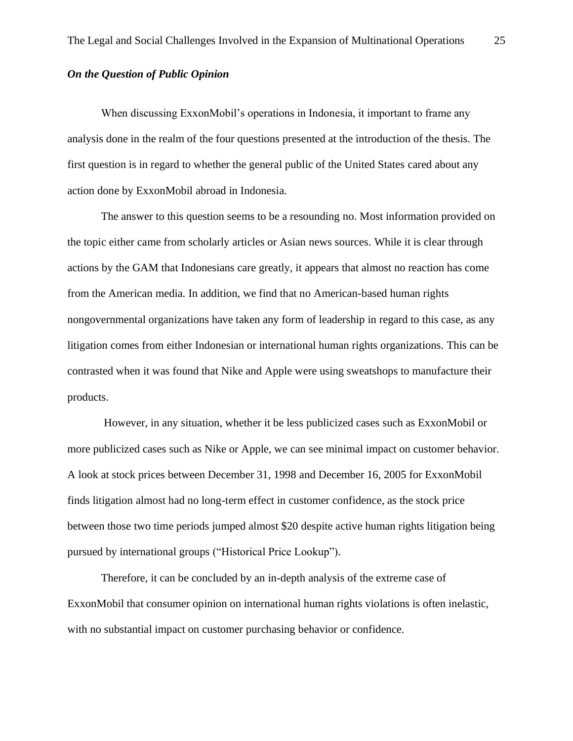## <span id="page-25-0"></span>*On the Question of Public Opinion*

When discussing ExxonMobil's operations in Indonesia, it important to frame any analysis done in the realm of the four questions presented at the introduction of the thesis. The first question is in regard to whether the general public of the United States cared about any action done by ExxonMobil abroad in Indonesia.

The answer to this question seems to be a resounding no. Most information provided on the topic either came from scholarly articles or Asian news sources. While it is clear through actions by the GAM that Indonesians care greatly, it appears that almost no reaction has come from the American media. In addition, we find that no American-based human rights nongovernmental organizations have taken any form of leadership in regard to this case, as any litigation comes from either Indonesian or international human rights organizations. This can be contrasted when it was found that Nike and Apple were using sweatshops to manufacture their products.

However, in any situation, whether it be less publicized cases such as ExxonMobil or more publicized cases such as Nike or Apple, we can see minimal impact on customer behavior. A look at stock prices between December 31, 1998 and December 16, 2005 for ExxonMobil finds litigation almost had no long-term effect in customer confidence, as the stock price between those two time periods jumped almost \$20 despite active human rights litigation being pursued by international groups ("Historical Price Lookup").

Therefore, it can be concluded by an in-depth analysis of the extreme case of ExxonMobil that consumer opinion on international human rights violations is often inelastic, with no substantial impact on customer purchasing behavior or confidence.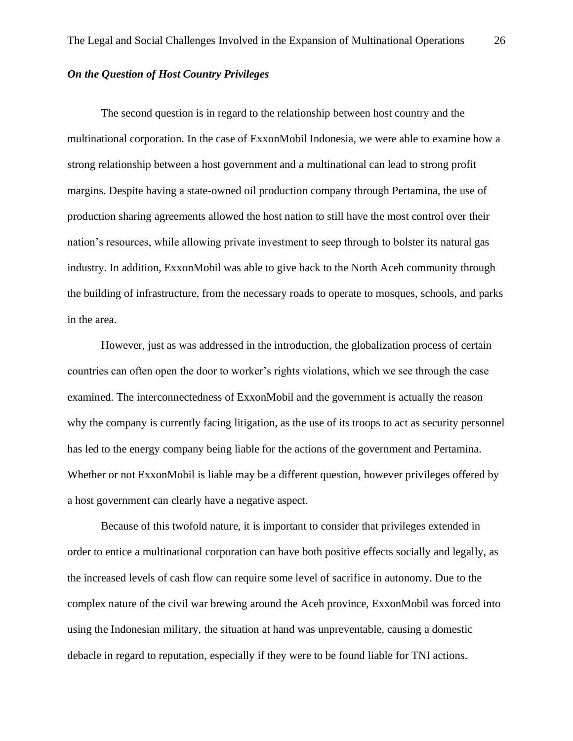## <span id="page-26-0"></span>*On the Question of Host Country Privileges*

The second question is in regard to the relationship between host country and the multinational corporation. In the case of ExxonMobil Indonesia, we were able to examine how a strong relationship between a host government and a multinational can lead to strong profit margins. Despite having a state-owned oil production company through Pertamina, the use of production sharing agreements allowed the host nation to still have the most control over their nation's resources, while allowing private investment to seep through to bolster its natural gas industry. In addition, ExxonMobil was able to give back to the North Aceh community through the building of infrastructure, from the necessary roads to operate to mosques, schools, and parks in the area.

However, just as was addressed in the introduction, the globalization process of certain countries can often open the door to worker's rights violations, which we see through the case examined. The interconnectedness of ExxonMobil and the government is actually the reason why the company is currently facing litigation, as the use of its troops to act as security personnel has led to the energy company being liable for the actions of the government and Pertamina. Whether or not ExxonMobil is liable may be a different question, however privileges offered by a host government can clearly have a negative aspect.

Because of this twofold nature, it is important to consider that privileges extended in order to entice a multinational corporation can have both positive effects socially and legally, as the increased levels of cash flow can require some level of sacrifice in autonomy. Due to the complex nature of the civil war brewing around the Aceh province, ExxonMobil was forced into using the Indonesian military, the situation at hand was unpreventable, causing a domestic debacle in regard to reputation, especially if they were to be found liable for TNI actions.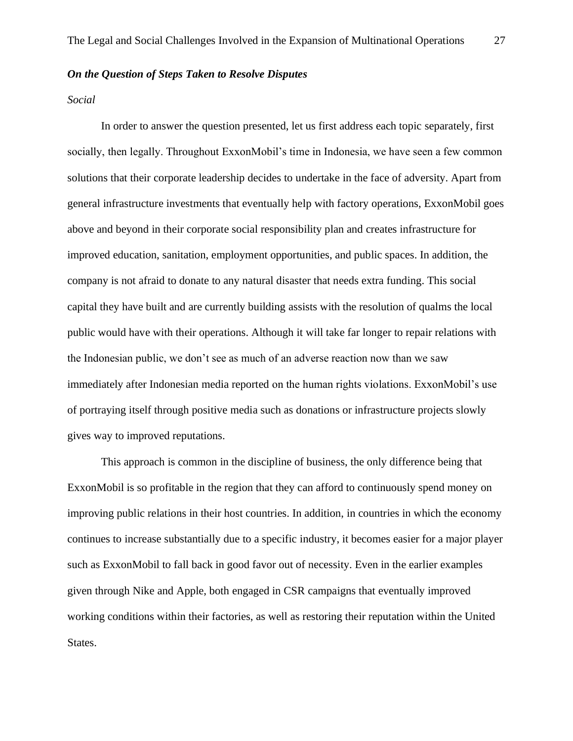### <span id="page-27-0"></span>*On the Question of Steps Taken to Resolve Disputes*

#### <span id="page-27-1"></span>*Social*

In order to answer the question presented, let us first address each topic separately, first socially, then legally. Throughout ExxonMobil's time in Indonesia, we have seen a few common solutions that their corporate leadership decides to undertake in the face of adversity. Apart from general infrastructure investments that eventually help with factory operations, ExxonMobil goes above and beyond in their corporate social responsibility plan and creates infrastructure for improved education, sanitation, employment opportunities, and public spaces. In addition, the company is not afraid to donate to any natural disaster that needs extra funding. This social capital they have built and are currently building assists with the resolution of qualms the local public would have with their operations. Although it will take far longer to repair relations with the Indonesian public, we don't see as much of an adverse reaction now than we saw immediately after Indonesian media reported on the human rights violations. ExxonMobil's use of portraying itself through positive media such as donations or infrastructure projects slowly gives way to improved reputations.

This approach is common in the discipline of business, the only difference being that ExxonMobil is so profitable in the region that they can afford to continuously spend money on improving public relations in their host countries. In addition, in countries in which the economy continues to increase substantially due to a specific industry, it becomes easier for a major player such as ExxonMobil to fall back in good favor out of necessity. Even in the earlier examples given through Nike and Apple, both engaged in CSR campaigns that eventually improved working conditions within their factories, as well as restoring their reputation within the United States.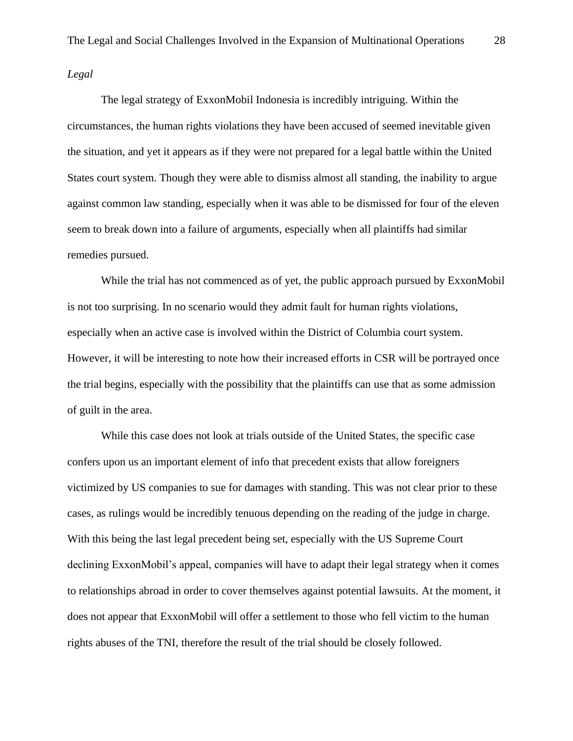<span id="page-28-0"></span>*Legal*

The legal strategy of ExxonMobil Indonesia is incredibly intriguing. Within the circumstances, the human rights violations they have been accused of seemed inevitable given the situation, and yet it appears as if they were not prepared for a legal battle within the United States court system. Though they were able to dismiss almost all standing, the inability to argue against common law standing, especially when it was able to be dismissed for four of the eleven seem to break down into a failure of arguments, especially when all plaintiffs had similar remedies pursued.

While the trial has not commenced as of yet, the public approach pursued by ExxonMobil is not too surprising. In no scenario would they admit fault for human rights violations, especially when an active case is involved within the District of Columbia court system. However, it will be interesting to note how their increased efforts in CSR will be portrayed once the trial begins, especially with the possibility that the plaintiffs can use that as some admission of guilt in the area.

While this case does not look at trials outside of the United States, the specific case confers upon us an important element of info that precedent exists that allow foreigners victimized by US companies to sue for damages with standing. This was not clear prior to these cases, as rulings would be incredibly tenuous depending on the reading of the judge in charge. With this being the last legal precedent being set, especially with the US Supreme Court declining ExxonMobil's appeal, companies will have to adapt their legal strategy when it comes to relationships abroad in order to cover themselves against potential lawsuits. At the moment, it does not appear that ExxonMobil will offer a settlement to those who fell victim to the human rights abuses of the TNI, therefore the result of the trial should be closely followed.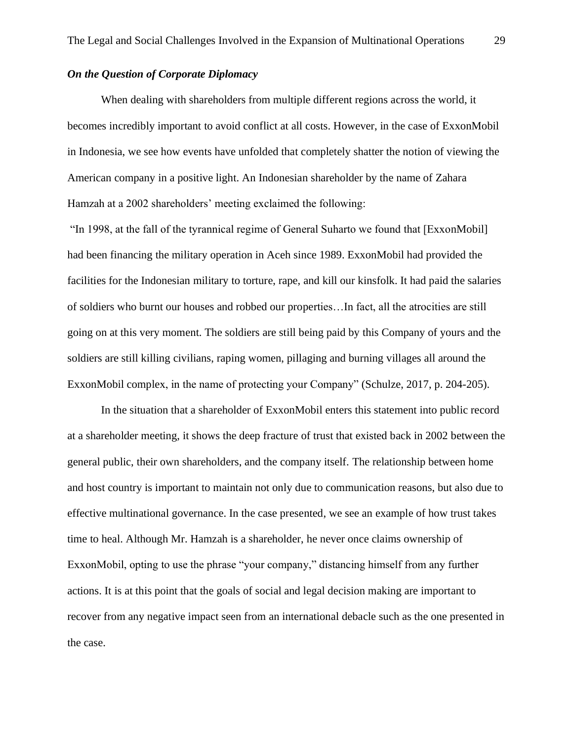## <span id="page-29-0"></span>*On the Question of Corporate Diplomacy*

When dealing with shareholders from multiple different regions across the world, it becomes incredibly important to avoid conflict at all costs. However, in the case of ExxonMobil in Indonesia, we see how events have unfolded that completely shatter the notion of viewing the American company in a positive light. An Indonesian shareholder by the name of Zahara Hamzah at a 2002 shareholders' meeting exclaimed the following:

"In 1998, at the fall of the tyrannical regime of General Suharto we found that [ExxonMobil] had been financing the military operation in Aceh since 1989. ExxonMobil had provided the facilities for the Indonesian military to torture, rape, and kill our kinsfolk. It had paid the salaries of soldiers who burnt our houses and robbed our properties…In fact, all the atrocities are still going on at this very moment. The soldiers are still being paid by this Company of yours and the soldiers are still killing civilians, raping women, pillaging and burning villages all around the ExxonMobil complex, in the name of protecting your Company" (Schulze, 2017, p. 204-205).

In the situation that a shareholder of ExxonMobil enters this statement into public record at a shareholder meeting, it shows the deep fracture of trust that existed back in 2002 between the general public, their own shareholders, and the company itself. The relationship between home and host country is important to maintain not only due to communication reasons, but also due to effective multinational governance. In the case presented, we see an example of how trust takes time to heal. Although Mr. Hamzah is a shareholder, he never once claims ownership of ExxonMobil, opting to use the phrase "your company," distancing himself from any further actions. It is at this point that the goals of social and legal decision making are important to recover from any negative impact seen from an international debacle such as the one presented in the case.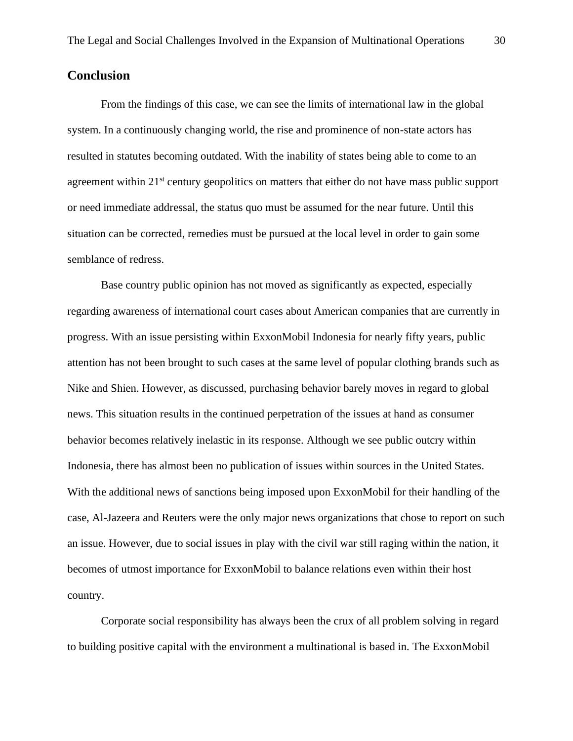## <span id="page-30-0"></span>**Conclusion**

From the findings of this case, we can see the limits of international law in the global system. In a continuously changing world, the rise and prominence of non-state actors has resulted in statutes becoming outdated. With the inability of states being able to come to an agreement within 21<sup>st</sup> century geopolitics on matters that either do not have mass public support or need immediate addressal, the status quo must be assumed for the near future. Until this situation can be corrected, remedies must be pursued at the local level in order to gain some semblance of redress.

Base country public opinion has not moved as significantly as expected, especially regarding awareness of international court cases about American companies that are currently in progress. With an issue persisting within ExxonMobil Indonesia for nearly fifty years, public attention has not been brought to such cases at the same level of popular clothing brands such as Nike and Shien. However, as discussed, purchasing behavior barely moves in regard to global news. This situation results in the continued perpetration of the issues at hand as consumer behavior becomes relatively inelastic in its response. Although we see public outcry within Indonesia, there has almost been no publication of issues within sources in the United States. With the additional news of sanctions being imposed upon ExxonMobil for their handling of the case, Al-Jazeera and Reuters were the only major news organizations that chose to report on such an issue. However, due to social issues in play with the civil war still raging within the nation, it becomes of utmost importance for ExxonMobil to balance relations even within their host country.

Corporate social responsibility has always been the crux of all problem solving in regard to building positive capital with the environment a multinational is based in. The ExxonMobil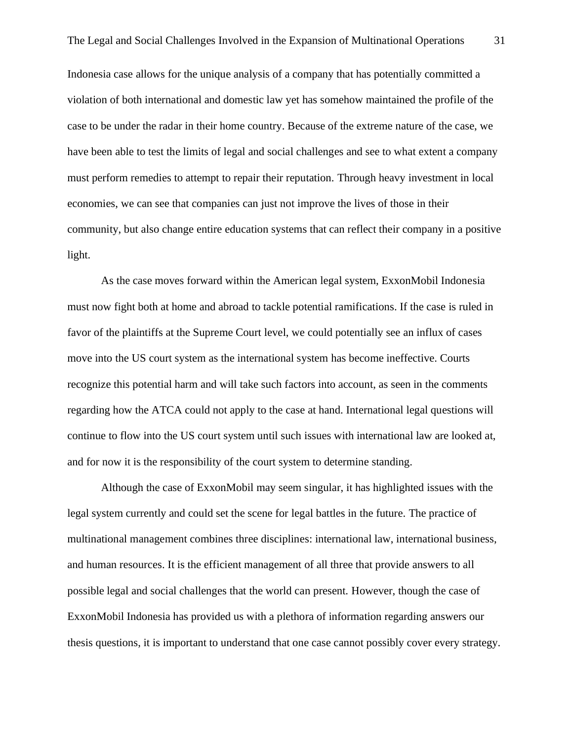Indonesia case allows for the unique analysis of a company that has potentially committed a violation of both international and domestic law yet has somehow maintained the profile of the case to be under the radar in their home country. Because of the extreme nature of the case, we have been able to test the limits of legal and social challenges and see to what extent a company must perform remedies to attempt to repair their reputation. Through heavy investment in local economies, we can see that companies can just not improve the lives of those in their community, but also change entire education systems that can reflect their company in a positive light.

As the case moves forward within the American legal system, ExxonMobil Indonesia must now fight both at home and abroad to tackle potential ramifications. If the case is ruled in favor of the plaintiffs at the Supreme Court level, we could potentially see an influx of cases move into the US court system as the international system has become ineffective. Courts recognize this potential harm and will take such factors into account, as seen in the comments regarding how the ATCA could not apply to the case at hand. International legal questions will continue to flow into the US court system until such issues with international law are looked at, and for now it is the responsibility of the court system to determine standing.

Although the case of ExxonMobil may seem singular, it has highlighted issues with the legal system currently and could set the scene for legal battles in the future. The practice of multinational management combines three disciplines: international law, international business, and human resources. It is the efficient management of all three that provide answers to all possible legal and social challenges that the world can present. However, though the case of ExxonMobil Indonesia has provided us with a plethora of information regarding answers our thesis questions, it is important to understand that one case cannot possibly cover every strategy.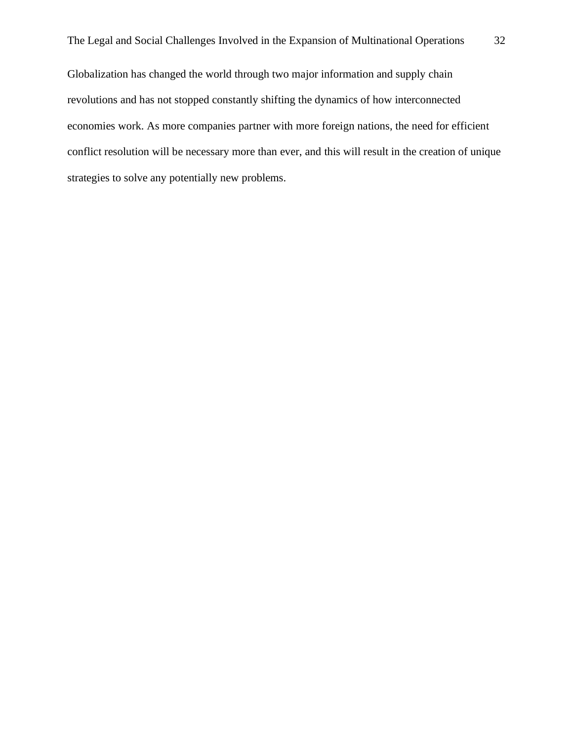Globalization has changed the world through two major information and supply chain revolutions and has not stopped constantly shifting the dynamics of how interconnected economies work. As more companies partner with more foreign nations, the need for efficient conflict resolution will be necessary more than ever, and this will result in the creation of unique strategies to solve any potentially new problems.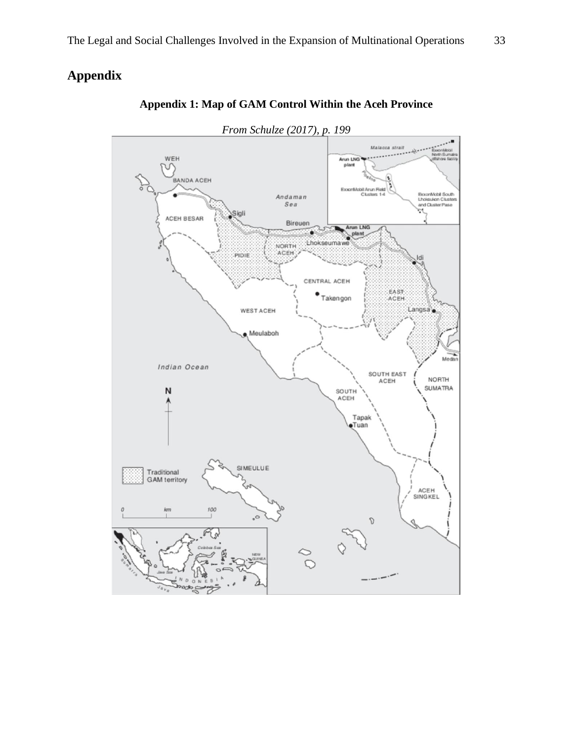# <span id="page-33-0"></span>**Appendix**



## **Appendix 1: Map of GAM Control Within the Aceh Province**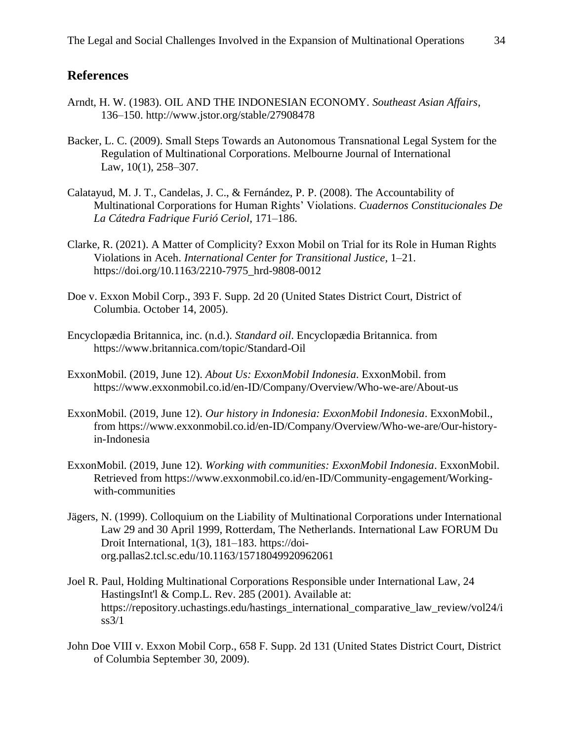## <span id="page-34-0"></span>**References**

- Arndt, H. W. (1983). OIL AND THE INDONESIAN ECONOMY. *Southeast Asian Affairs*, 136–150. http://www.jstor.org/stable/27908478
- Backer, L. C. (2009). Small Steps Towards an Autonomous Transnational Legal System for the Regulation of Multinational Corporations. Melbourne Journal of International Law, 10(1), 258–307.
- Calatayud, M. J. T., Candelas, J. C., & Fernández, P. P. (2008). The Accountability of Multinational Corporations for Human Rights' Violations. *Cuadernos Constitucionales De La Cátedra Fadrique Furió Ceriol*, 171–186.
- Clarke, R. (2021). A Matter of Complicity? Exxon Mobil on Trial for its Role in Human Rights Violations in Aceh. *International Center for Transitional Justice*, 1–21. https://doi.org/10.1163/2210-7975\_hrd-9808-0012
- Doe v. Exxon Mobil Corp., 393 F. Supp. 2d 20 (United States District Court, District of Columbia. October 14, 2005).
- Encyclopædia Britannica, inc. (n.d.). *Standard oil*. Encyclopædia Britannica. from https://www.britannica.com/topic/Standard-Oil
- ExxonMobil. (2019, June 12). *About Us: ExxonMobil Indonesia*. ExxonMobil. from https://www.exxonmobil.co.id/en-ID/Company/Overview/Who-we-are/About-us
- ExxonMobil. (2019, June 12). *Our history in Indonesia: ExxonMobil Indonesia*. ExxonMobil., from https://www.exxonmobil.co.id/en-ID/Company/Overview/Who-we-are/Our-historyin-Indonesia
- ExxonMobil. (2019, June 12). *Working with communities: ExxonMobil Indonesia*. ExxonMobil. Retrieved from https://www.exxonmobil.co.id/en-ID/Community-engagement/Workingwith-communities
- Jägers, N. (1999). Colloquium on the Liability of Multinational Corporations under International Law 29 and 30 April 1999, Rotterdam, The Netherlands. International Law FORUM Du Droit International, 1(3), 181–183. https://doiorg.pallas2.tcl.sc.edu/10.1163/15718049920962061
- Joel R. Paul, Holding Multinational Corporations Responsible under International Law, 24 HastingsInt'l & Comp.L. Rev. 285 (2001). Available at: https://repository.uchastings.edu/hastings\_international\_comparative\_law\_review/vol24/i  $ss3/1$
- John Doe VIII v. Exxon Mobil Corp., 658 F. Supp. 2d 131 (United States District Court, District of Columbia September 30, 2009).